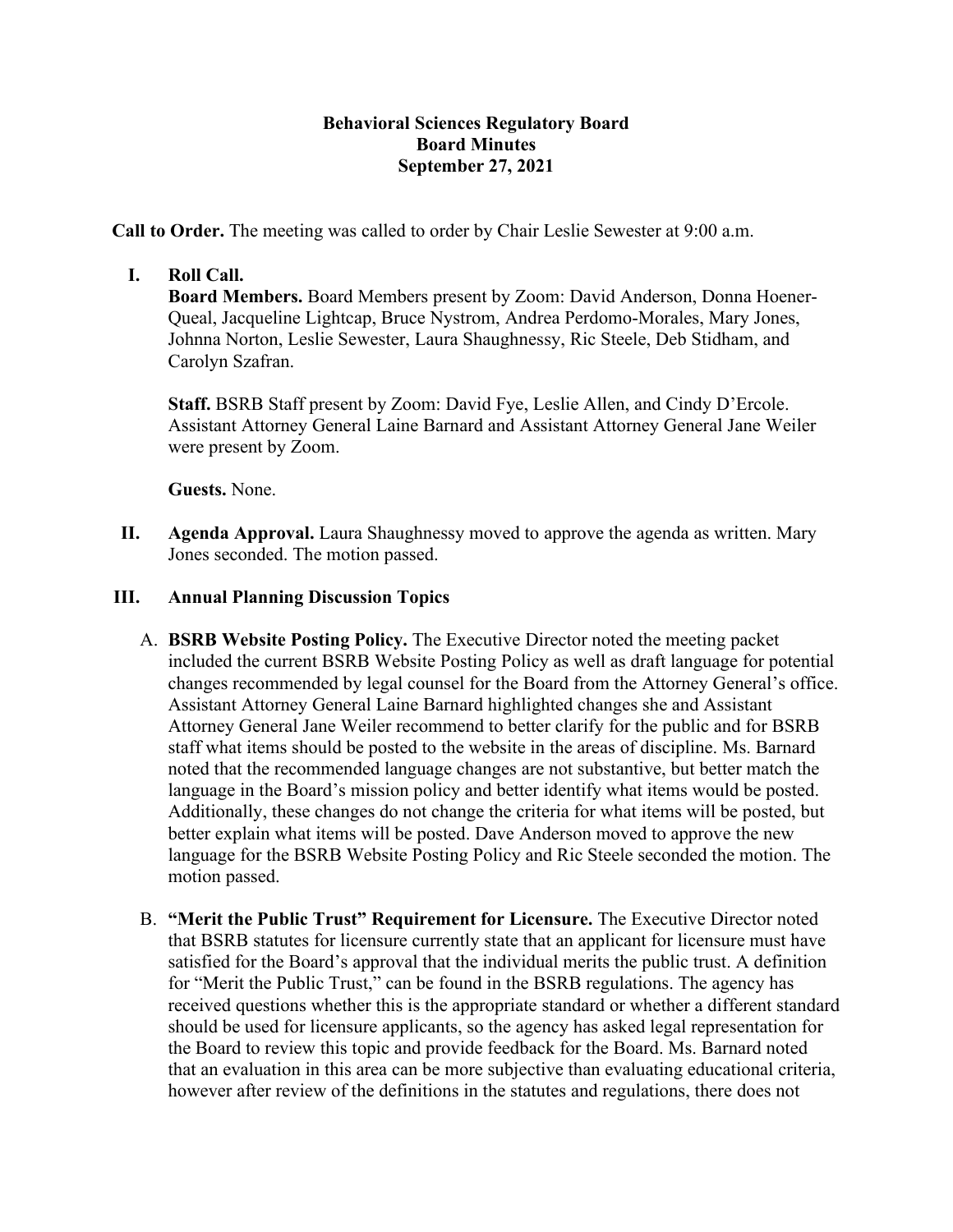## **Behavioral Sciences Regulatory Board Board Minutes September 27, 2021**

**Call to Order.** The meeting was called to order by Chair Leslie Sewester at 9:00 a.m.

## **I. Roll Call.**

**Board Members.** Board Members present by Zoom: David Anderson, Donna Hoener-Queal, Jacqueline Lightcap, Bruce Nystrom, Andrea Perdomo-Morales, Mary Jones, Johnna Norton, Leslie Sewester, Laura Shaughnessy, Ric Steele, Deb Stidham, and Carolyn Szafran.

**Staff.** BSRB Staff present by Zoom: David Fye, Leslie Allen, and Cindy D'Ercole. Assistant Attorney General Laine Barnard and Assistant Attorney General Jane Weiler were present by Zoom.

**Guests.** None.

**II. Agenda Approval.** Laura Shaughnessy moved to approve the agenda as written. Mary Jones seconded. The motion passed.

## **III. Annual Planning Discussion Topics**

- A. **BSRB Website Posting Policy.** The Executive Director noted the meeting packet included the current BSRB Website Posting Policy as well as draft language for potential changes recommended by legal counsel for the Board from the Attorney General's office. Assistant Attorney General Laine Barnard highlighted changes she and Assistant Attorney General Jane Weiler recommend to better clarify for the public and for BSRB staff what items should be posted to the website in the areas of discipline. Ms. Barnard noted that the recommended language changes are not substantive, but better match the language in the Board's mission policy and better identify what items would be posted. Additionally, these changes do not change the criteria for what items will be posted, but better explain what items will be posted. Dave Anderson moved to approve the new language for the BSRB Website Posting Policy and Ric Steele seconded the motion. The motion passed.
- B. **"Merit the Public Trust" Requirement for Licensure.** The Executive Director noted that BSRB statutes for licensure currently state that an applicant for licensure must have satisfied for the Board's approval that the individual merits the public trust. A definition for "Merit the Public Trust," can be found in the BSRB regulations. The agency has received questions whether this is the appropriate standard or whether a different standard should be used for licensure applicants, so the agency has asked legal representation for the Board to review this topic and provide feedback for the Board. Ms. Barnard noted that an evaluation in this area can be more subjective than evaluating educational criteria, however after review of the definitions in the statutes and regulations, there does not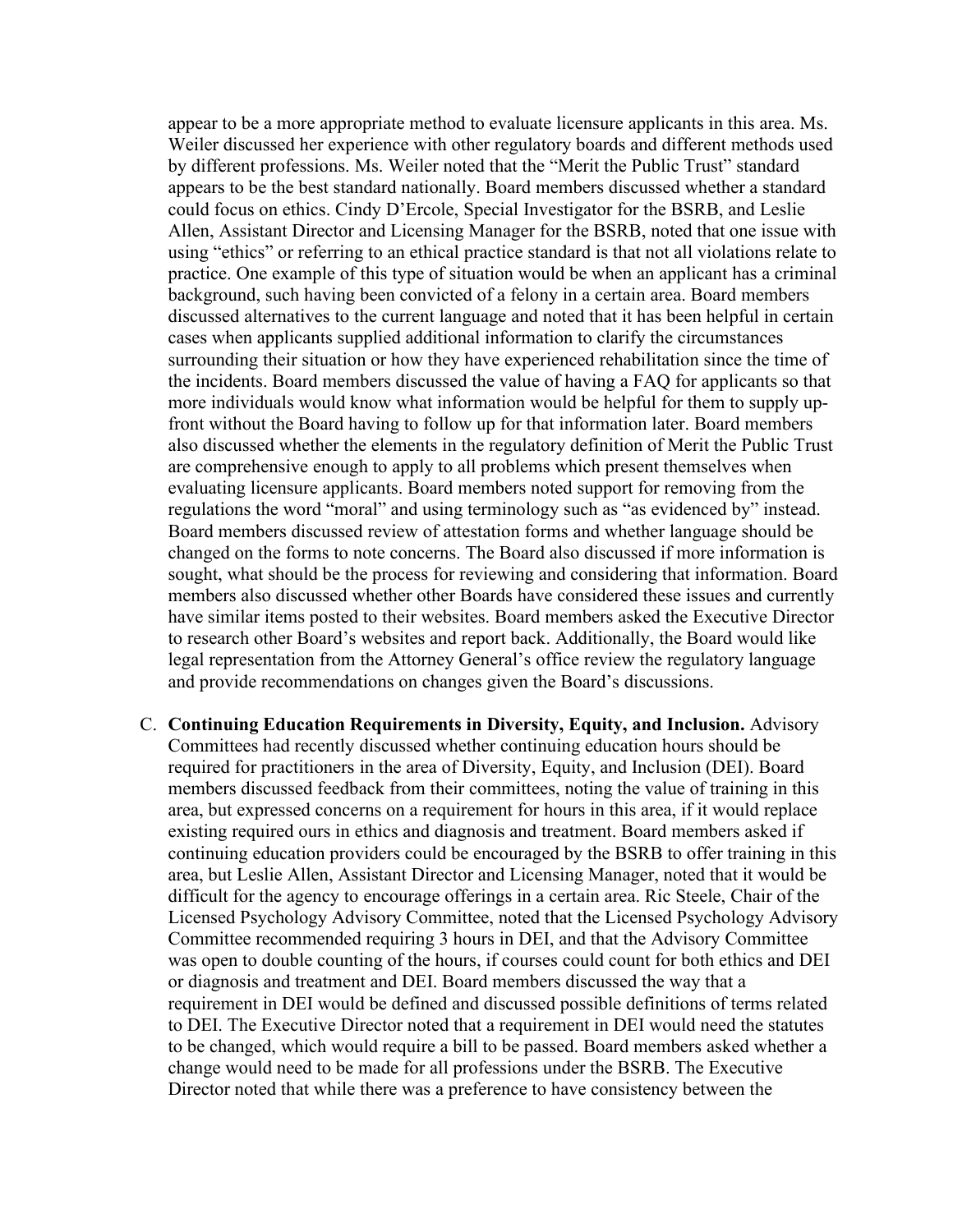appear to be a more appropriate method to evaluate licensure applicants in this area. Ms. Weiler discussed her experience with other regulatory boards and different methods used by different professions. Ms. Weiler noted that the "Merit the Public Trust" standard appears to be the best standard nationally. Board members discussed whether a standard could focus on ethics. Cindy D'Ercole, Special Investigator for the BSRB, and Leslie Allen, Assistant Director and Licensing Manager for the BSRB, noted that one issue with using "ethics" or referring to an ethical practice standard is that not all violations relate to practice. One example of this type of situation would be when an applicant has a criminal background, such having been convicted of a felony in a certain area. Board members discussed alternatives to the current language and noted that it has been helpful in certain cases when applicants supplied additional information to clarify the circumstances surrounding their situation or how they have experienced rehabilitation since the time of the incidents. Board members discussed the value of having a FAQ for applicants so that more individuals would know what information would be helpful for them to supply upfront without the Board having to follow up for that information later. Board members also discussed whether the elements in the regulatory definition of Merit the Public Trust are comprehensive enough to apply to all problems which present themselves when evaluating licensure applicants. Board members noted support for removing from the regulations the word "moral" and using terminology such as "as evidenced by" instead. Board members discussed review of attestation forms and whether language should be changed on the forms to note concerns. The Board also discussed if more information is sought, what should be the process for reviewing and considering that information. Board members also discussed whether other Boards have considered these issues and currently have similar items posted to their websites. Board members asked the Executive Director to research other Board's websites and report back. Additionally, the Board would like legal representation from the Attorney General's office review the regulatory language and provide recommendations on changes given the Board's discussions.

C. **Continuing Education Requirements in Diversity, Equity, and Inclusion.** Advisory Committees had recently discussed whether continuing education hours should be required for practitioners in the area of Diversity, Equity, and Inclusion (DEI). Board members discussed feedback from their committees, noting the value of training in this area, but expressed concerns on a requirement for hours in this area, if it would replace existing required ours in ethics and diagnosis and treatment. Board members asked if continuing education providers could be encouraged by the BSRB to offer training in this area, but Leslie Allen, Assistant Director and Licensing Manager, noted that it would be difficult for the agency to encourage offerings in a certain area. Ric Steele, Chair of the Licensed Psychology Advisory Committee, noted that the Licensed Psychology Advisory Committee recommended requiring 3 hours in DEI, and that the Advisory Committee was open to double counting of the hours, if courses could count for both ethics and DEI or diagnosis and treatment and DEI. Board members discussed the way that a requirement in DEI would be defined and discussed possible definitions of terms related to DEI. The Executive Director noted that a requirement in DEI would need the statutes to be changed, which would require a bill to be passed. Board members asked whether a change would need to be made for all professions under the BSRB. The Executive Director noted that while there was a preference to have consistency between the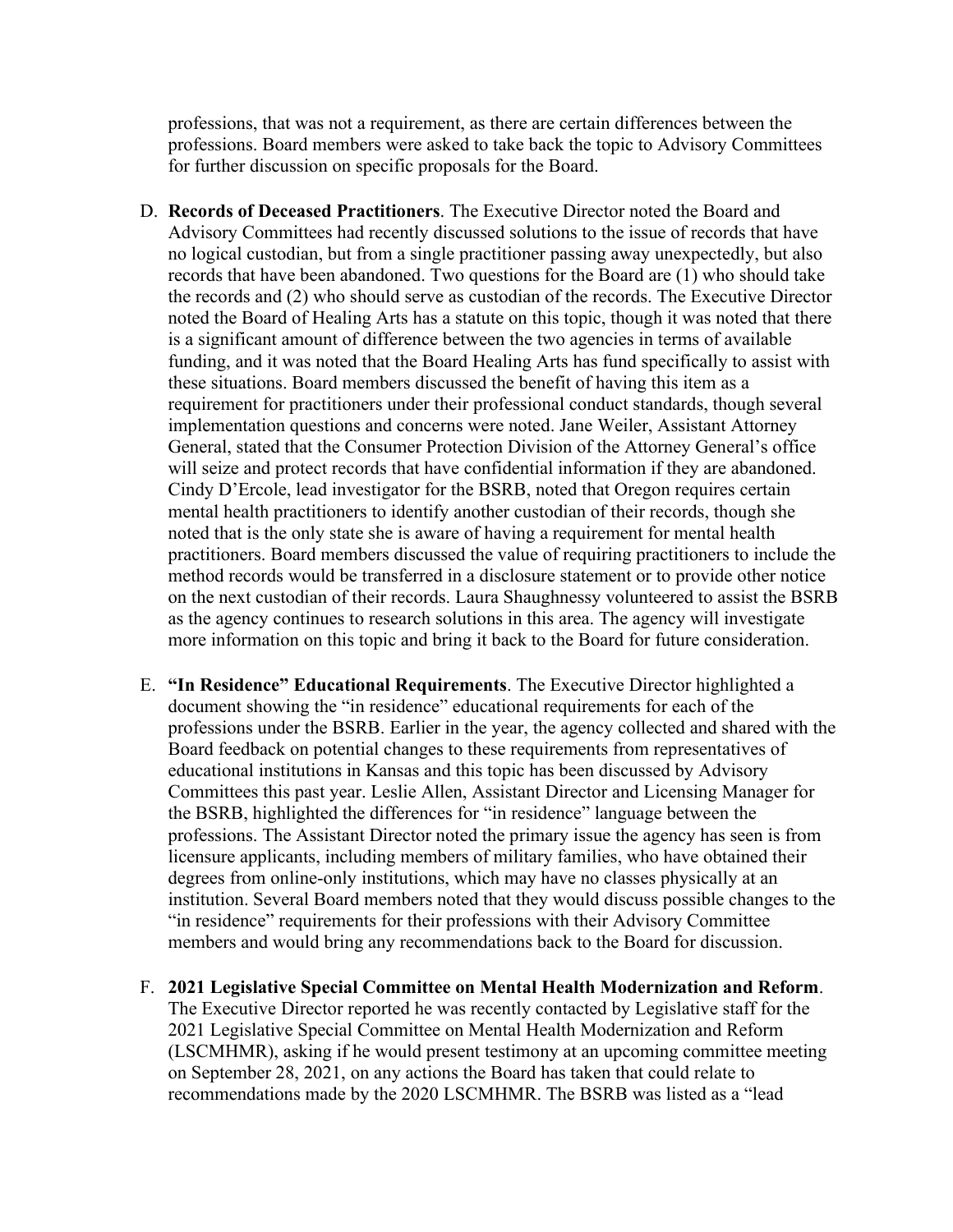professions, that was not a requirement, as there are certain differences between the professions. Board members were asked to take back the topic to Advisory Committees for further discussion on specific proposals for the Board.

- D. **Records of Deceased Practitioners**. The Executive Director noted the Board and Advisory Committees had recently discussed solutions to the issue of records that have no logical custodian, but from a single practitioner passing away unexpectedly, but also records that have been abandoned. Two questions for the Board are (1) who should take the records and (2) who should serve as custodian of the records. The Executive Director noted the Board of Healing Arts has a statute on this topic, though it was noted that there is a significant amount of difference between the two agencies in terms of available funding, and it was noted that the Board Healing Arts has fund specifically to assist with these situations. Board members discussed the benefit of having this item as a requirement for practitioners under their professional conduct standards, though several implementation questions and concerns were noted. Jane Weiler, Assistant Attorney General, stated that the Consumer Protection Division of the Attorney General's office will seize and protect records that have confidential information if they are abandoned. Cindy D'Ercole, lead investigator for the BSRB, noted that Oregon requires certain mental health practitioners to identify another custodian of their records, though she noted that is the only state she is aware of having a requirement for mental health practitioners. Board members discussed the value of requiring practitioners to include the method records would be transferred in a disclosure statement or to provide other notice on the next custodian of their records. Laura Shaughnessy volunteered to assist the BSRB as the agency continues to research solutions in this area. The agency will investigate more information on this topic and bring it back to the Board for future consideration.
- E. **"In Residence" Educational Requirements**. The Executive Director highlighted a document showing the "in residence" educational requirements for each of the professions under the BSRB. Earlier in the year, the agency collected and shared with the Board feedback on potential changes to these requirements from representatives of educational institutions in Kansas and this topic has been discussed by Advisory Committees this past year. Leslie Allen, Assistant Director and Licensing Manager for the BSRB, highlighted the differences for "in residence" language between the professions. The Assistant Director noted the primary issue the agency has seen is from licensure applicants, including members of military families, who have obtained their degrees from online-only institutions, which may have no classes physically at an institution. Several Board members noted that they would discuss possible changes to the "in residence" requirements for their professions with their Advisory Committee members and would bring any recommendations back to the Board for discussion.
- F. **2021 Legislative Special Committee on Mental Health Modernization and Reform**. The Executive Director reported he was recently contacted by Legislative staff for the 2021 Legislative Special Committee on Mental Health Modernization and Reform (LSCMHMR), asking if he would present testimony at an upcoming committee meeting on September 28, 2021, on any actions the Board has taken that could relate to recommendations made by the 2020 LSCMHMR. The BSRB was listed as a "lead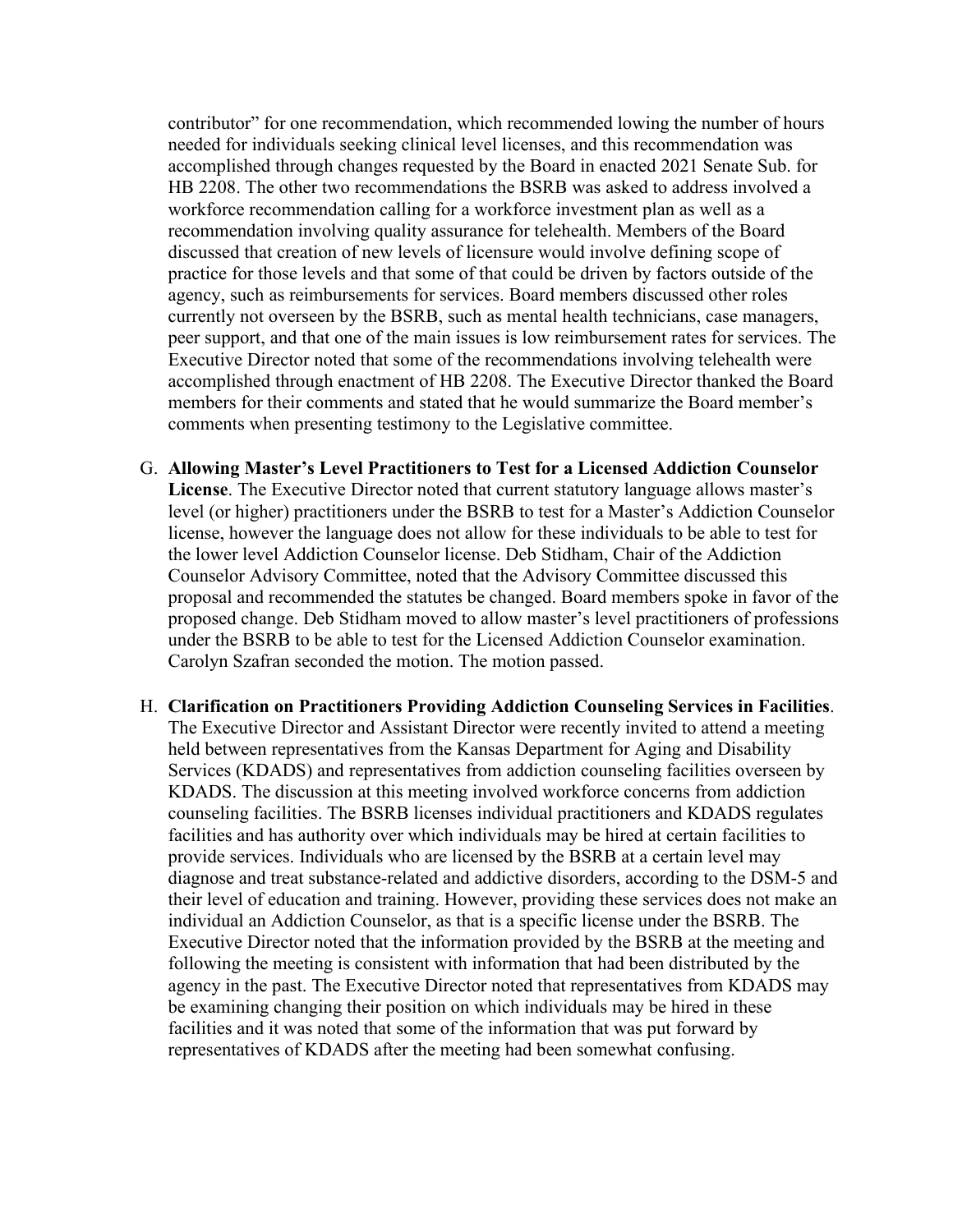contributor" for one recommendation, which recommended lowing the number of hours needed for individuals seeking clinical level licenses, and this recommendation was accomplished through changes requested by the Board in enacted 2021 Senate Sub. for HB 2208. The other two recommendations the BSRB was asked to address involved a workforce recommendation calling for a workforce investment plan as well as a recommendation involving quality assurance for telehealth. Members of the Board discussed that creation of new levels of licensure would involve defining scope of practice for those levels and that some of that could be driven by factors outside of the agency, such as reimbursements for services. Board members discussed other roles currently not overseen by the BSRB, such as mental health technicians, case managers, peer support, and that one of the main issues is low reimbursement rates for services. The Executive Director noted that some of the recommendations involving telehealth were accomplished through enactment of HB 2208. The Executive Director thanked the Board members for their comments and stated that he would summarize the Board member's comments when presenting testimony to the Legislative committee.

- G. **Allowing Master's Level Practitioners to Test for a Licensed Addiction Counselor License**. The Executive Director noted that current statutory language allows master's level (or higher) practitioners under the BSRB to test for a Master's Addiction Counselor license, however the language does not allow for these individuals to be able to test for the lower level Addiction Counselor license. Deb Stidham, Chair of the Addiction Counselor Advisory Committee, noted that the Advisory Committee discussed this proposal and recommended the statutes be changed. Board members spoke in favor of the proposed change. Deb Stidham moved to allow master's level practitioners of professions under the BSRB to be able to test for the Licensed Addiction Counselor examination. Carolyn Szafran seconded the motion. The motion passed.
- H. **Clarification on Practitioners Providing Addiction Counseling Services in Facilities**. The Executive Director and Assistant Director were recently invited to attend a meeting held between representatives from the Kansas Department for Aging and Disability Services (KDADS) and representatives from addiction counseling facilities overseen by KDADS. The discussion at this meeting involved workforce concerns from addiction counseling facilities. The BSRB licenses individual practitioners and KDADS regulates facilities and has authority over which individuals may be hired at certain facilities to provide services. Individuals who are licensed by the BSRB at a certain level may diagnose and treat substance-related and addictive disorders, according to the DSM-5 and their level of education and training. However, providing these services does not make an individual an Addiction Counselor, as that is a specific license under the BSRB. The Executive Director noted that the information provided by the BSRB at the meeting and following the meeting is consistent with information that had been distributed by the agency in the past. The Executive Director noted that representatives from KDADS may be examining changing their position on which individuals may be hired in these facilities and it was noted that some of the information that was put forward by representatives of KDADS after the meeting had been somewhat confusing.